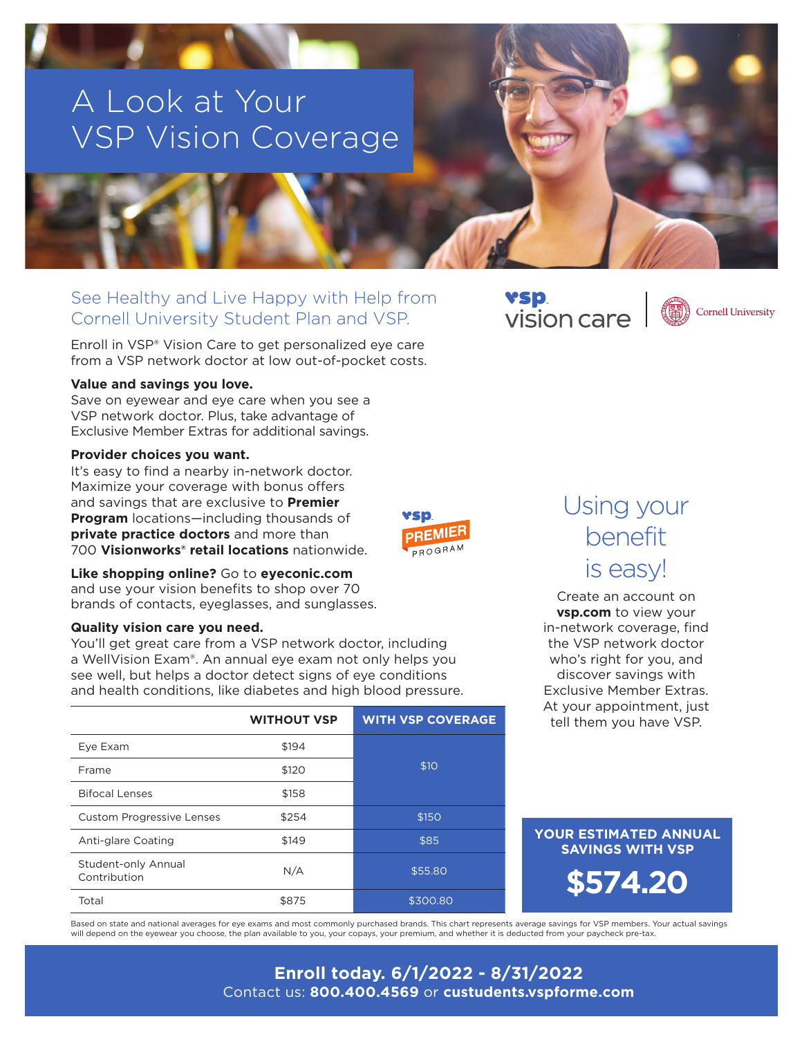# A Look at Your VSP Vision Coverage

### See Healthy and Live Happy with Help from Cornell University Student Plan and VSP.

Enroll in VSP® Vision Care to get personalized eye care from a VSP network doctor at low out-of-pocket costs.

#### **Value and savings you love.**

Save on eyewear and eye care when you see a VSP network doctor. Plus, take advantage of Exclusive Member Extras for additional savings.

#### **Provider choices you want.**

It's easy to find a nearby in-network doctor. Maximize your coverage with bonus offers and savings that are exclusive to **Premier Program** locations—including thousands of **private practice doctors** and more than 700 **Visionworks® retail locations** nationwide.



#### **Like shopping online?** Go to **eyeconic.com**

and use your vision benefits to shop over 70 brands of contacts, eyeglasses, and sunglasses.

#### **Quality vision care you need.**

You'll get great care from a VSP network doctor, including a WellVision Exam®. An annual eye exam not only helps you see well, but helps a doctor detect signs of eye conditions and health conditions, like diabetes and high blood pressure.

|                                     | <b>WITHOUT VSP</b> | <b>WITH VSP COVERAGE</b> |  |
|-------------------------------------|--------------------|--------------------------|--|
| Eye Exam                            | \$194              |                          |  |
| Frame                               | \$120              | \$10                     |  |
| <b>Bifocal Lenses</b>               | \$158              |                          |  |
| <b>Custom Progressive Lenses</b>    | \$254              | \$150                    |  |
| Anti-glare Coating                  | \$149              | \$85                     |  |
| Student-only Annual<br>Contribution | N/A                | \$55.80                  |  |
| Total                               | \$875              | \$300.80                 |  |

### YSD. vision care



## Using your benefit is easy!

Create an account on **vsp.com** to view your in-network coverage, find the VSP network doctor who's right for you, and discover savings with Exclusive Member Extras. At your appointment, just tell them you have VSP.

### **YOUR ESTIMATED ANNUAL SAVINGS WITH VSP**

**\$574.20**

Based on state and national averages for eye exams and most commonly purchased brands. This chart represents average savings for VSP members. Your actual savings will depend on the eyewear you choose, the plan available to you, your copays, your premium, and whether it is deducted from your paycheck pre-tax.

### **Enroll today. 6/1/2022 - 8/31/2022** Contact us: **800.400.4569** or **custudents.vspforme.com**